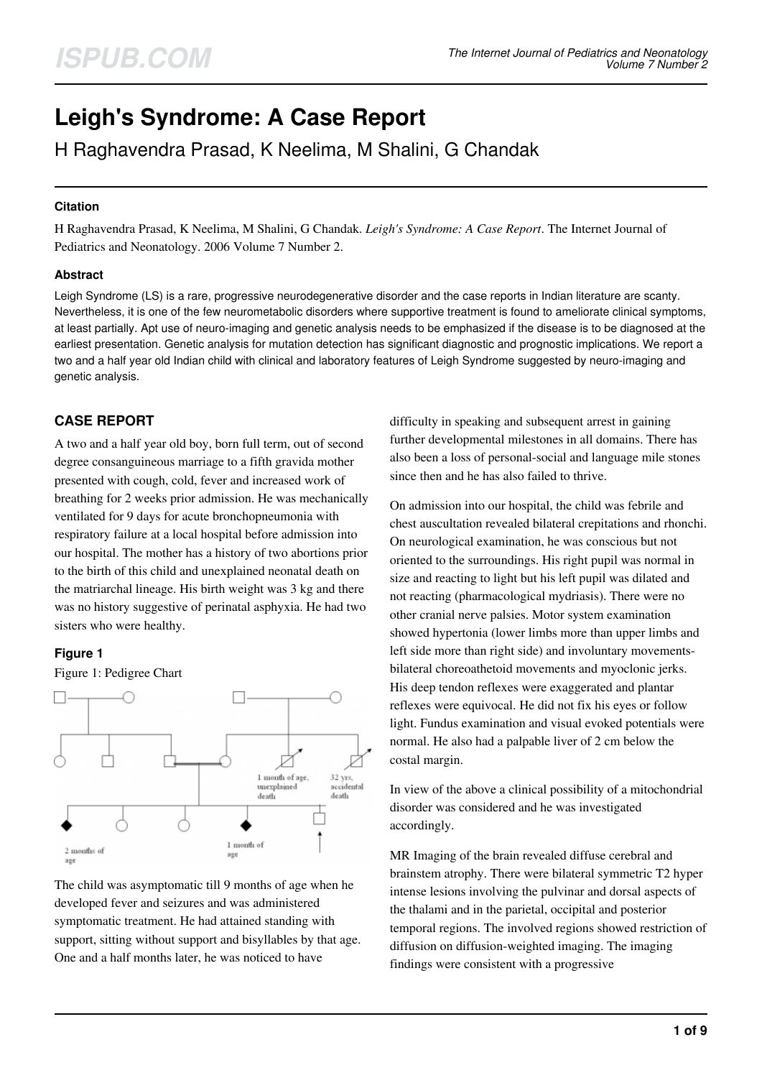# **Leigh's Syndrome: A Case Report**

H Raghavendra Prasad, K Neelima, M Shalini, G Chandak

# **Citation**

H Raghavendra Prasad, K Neelima, M Shalini, G Chandak. *Leigh's Syndrome: A Case Report*. The Internet Journal of Pediatrics and Neonatology. 2006 Volume 7 Number 2.

# **Abstract**

Leigh Syndrome (LS) is a rare, progressive neurodegenerative disorder and the case reports in Indian literature are scanty. Nevertheless, it is one of the few neurometabolic disorders where supportive treatment is found to ameliorate clinical symptoms, at least partially. Apt use of neuro-imaging and genetic analysis needs to be emphasized if the disease is to be diagnosed at the earliest presentation. Genetic analysis for mutation detection has significant diagnostic and prognostic implications. We report a two and a half year old Indian child with clinical and laboratory features of Leigh Syndrome suggested by neuro-imaging and genetic analysis.

# **CASE REPORT**

A two and a half year old boy, born full term, out of second degree consanguineous marriage to a fifth gravida mother presented with cough, cold, fever and increased work of breathing for 2 weeks prior admission. He was mechanically ventilated for 9 days for acute bronchopneumonia with respiratory failure at a local hospital before admission into our hospital. The mother has a history of two abortions prior to the birth of this child and unexplained neonatal death on the matriarchal lineage. His birth weight was 3 kg and there was no history suggestive of perinatal asphyxia. He had two sisters who were healthy.

# **Figure 1**

#### Figure 1: Pedigree Chart



The child was asymptomatic till 9 months of age when he developed fever and seizures and was administered symptomatic treatment. He had attained standing with support, sitting without support and bisyllables by that age. One and a half months later, he was noticed to have

difficulty in speaking and subsequent arrest in gaining further developmental milestones in all domains. There has also been a loss of personal-social and language mile stones since then and he has also failed to thrive.

On admission into our hospital, the child was febrile and chest auscultation revealed bilateral crepitations and rhonchi. On neurological examination, he was conscious but not oriented to the surroundings. His right pupil was normal in size and reacting to light but his left pupil was dilated and not reacting (pharmacological mydriasis). There were no other cranial nerve palsies. Motor system examination showed hypertonia (lower limbs more than upper limbs and left side more than right side) and involuntary movementsbilateral choreoathetoid movements and myoclonic jerks. His deep tendon reflexes were exaggerated and plantar reflexes were equivocal. He did not fix his eyes or follow light. Fundus examination and visual evoked potentials were normal. He also had a palpable liver of 2 cm below the costal margin.

In view of the above a clinical possibility of a mitochondrial disorder was considered and he was investigated accordingly.

MR Imaging of the brain revealed diffuse cerebral and brainstem atrophy. There were bilateral symmetric T2 hyper intense lesions involving the pulvinar and dorsal aspects of the thalami and in the parietal, occipital and posterior temporal regions. The involved regions showed restriction of diffusion on diffusion-weighted imaging. The imaging findings were consistent with a progressive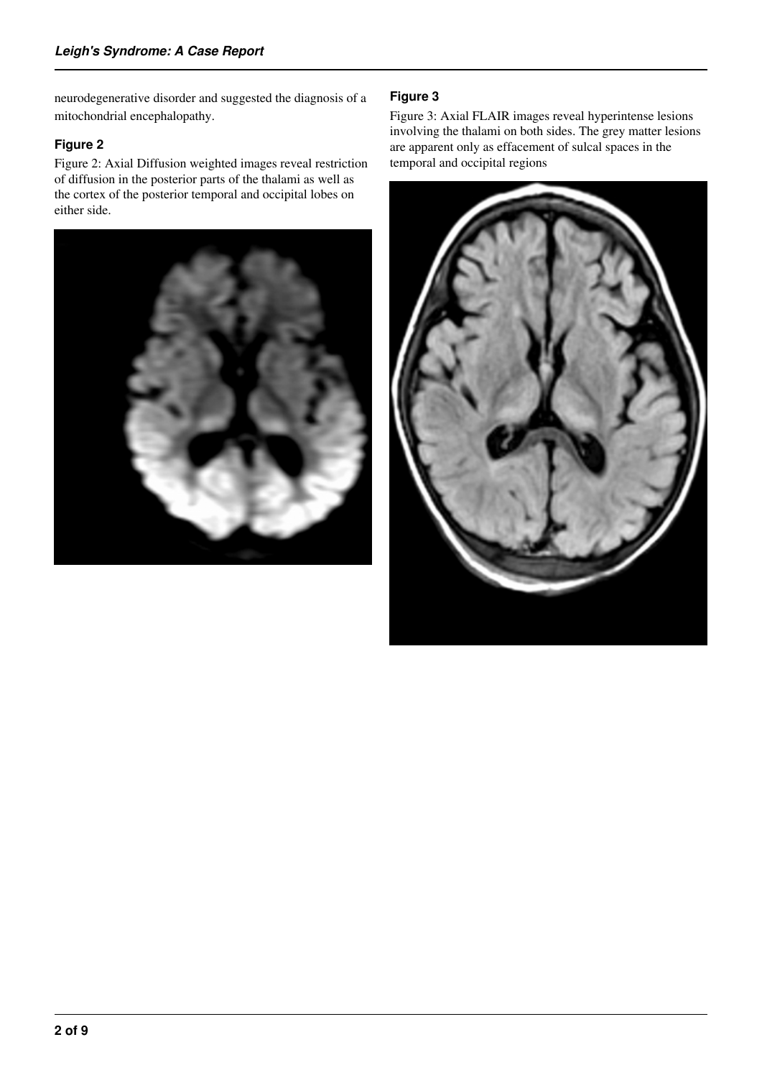neurodegenerative disorder and suggested the diagnosis of a mitochondrial encephalopathy.

# **Figure 2**

Figure 2: Axial Diffusion weighted images reveal restriction of diffusion in the posterior parts of the thalami as well as the cortex of the posterior temporal and occipital lobes on either side.



# **Figure 3**

Figure 3: Axial FLAIR images reveal hyperintense lesions involving the thalami on both sides. The grey matter lesions are apparent only as effacement of sulcal spaces in the temporal and occipital regions

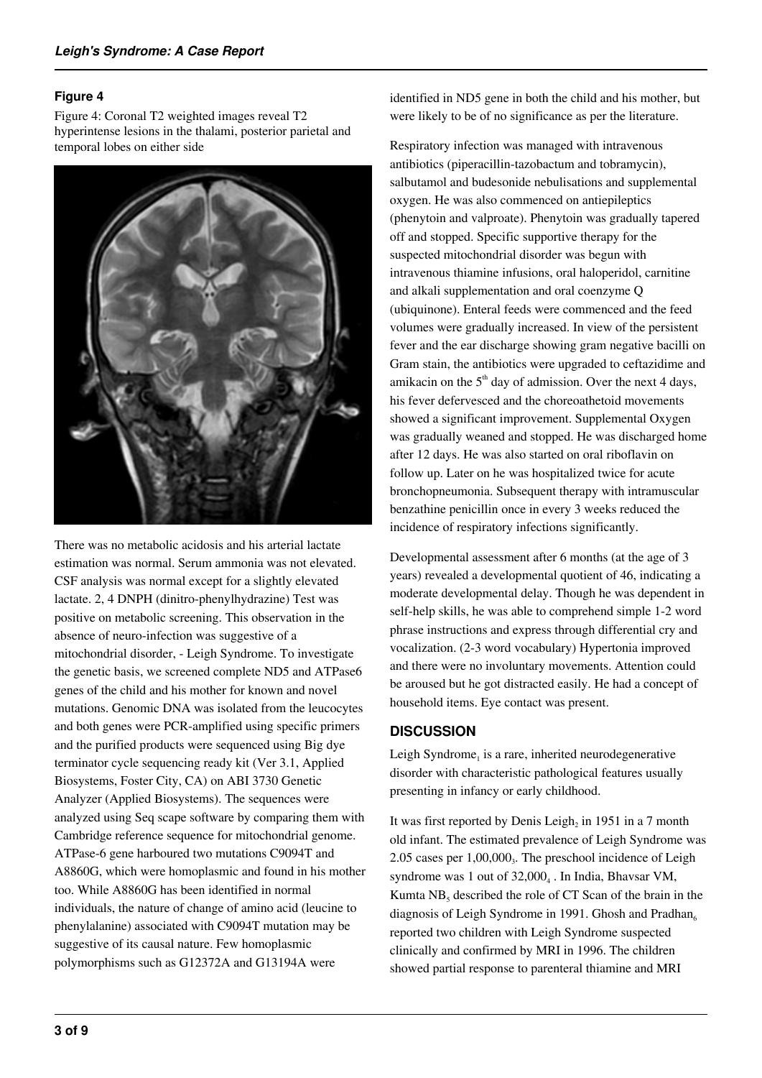# **Figure 4**

Figure 4: Coronal T2 weighted images reveal T2 hyperintense lesions in the thalami, posterior parietal and temporal lobes on either side



There was no metabolic acidosis and his arterial lactate estimation was normal. Serum ammonia was not elevated. CSF analysis was normal except for a slightly elevated lactate. 2, 4 DNPH (dinitro-phenylhydrazine) Test was positive on metabolic screening. This observation in the absence of neuro-infection was suggestive of a mitochondrial disorder, - Leigh Syndrome. To investigate the genetic basis, we screened complete ND5 and ATPase6 genes of the child and his mother for known and novel mutations. Genomic DNA was isolated from the leucocytes and both genes were PCR-amplified using specific primers and the purified products were sequenced using Big dye terminator cycle sequencing ready kit (Ver 3.1, Applied Biosystems, Foster City, CA) on ABI 3730 Genetic Analyzer (Applied Biosystems). The sequences were analyzed using Seq scape software by comparing them with Cambridge reference sequence for mitochondrial genome. ATPase-6 gene harboured two mutations C9094T and A8860G, which were homoplasmic and found in his mother too. While A8860G has been identified in normal individuals, the nature of change of amino acid (leucine to phenylalanine) associated with C9094T mutation may be suggestive of its causal nature. Few homoplasmic polymorphisms such as G12372A and G13194A were

identified in ND5 gene in both the child and his mother, but were likely to be of no significance as per the literature.

Respiratory infection was managed with intravenous antibiotics (piperacillin-tazobactum and tobramycin), salbutamol and budesonide nebulisations and supplemental oxygen. He was also commenced on antiepileptics (phenytoin and valproate). Phenytoin was gradually tapered off and stopped. Specific supportive therapy for the suspected mitochondrial disorder was begun with intravenous thiamine infusions, oral haloperidol, carnitine and alkali supplementation and oral coenzyme Q (ubiquinone). Enteral feeds were commenced and the feed volumes were gradually increased. In view of the persistent fever and the ear discharge showing gram negative bacilli on Gram stain, the antibiotics were upgraded to ceftazidime and amikacin on the  $5<sup>th</sup>$  day of admission. Over the next 4 days, his fever defervesced and the choreoathetoid movements showed a significant improvement. Supplemental Oxygen was gradually weaned and stopped. He was discharged home after 12 days. He was also started on oral riboflavin on follow up. Later on he was hospitalized twice for acute bronchopneumonia. Subsequent therapy with intramuscular benzathine penicillin once in every 3 weeks reduced the incidence of respiratory infections significantly.

Developmental assessment after 6 months (at the age of 3 years) revealed a developmental quotient of 46, indicating a moderate developmental delay. Though he was dependent in self-help skills, he was able to comprehend simple 1-2 word phrase instructions and express through differential cry and vocalization. (2-3 word vocabulary) Hypertonia improved and there were no involuntary movements. Attention could be aroused but he got distracted easily. He had a concept of household items. Eye contact was present.

### **DISCUSSION**

Leigh Syndrome, is a rare, inherited neurodegenerative disorder with characteristic pathological features usually presenting in infancy or early childhood.

It was first reported by Denis Leigh<sub>2</sub> in 1951 in a 7 month old infant. The estimated prevalence of Leigh Syndrome was 2.05 cases per 1,00,000<sub>3</sub>. The preschool incidence of Leigh syndrome was 1 out of 32,000<sub>4</sub>. In India, Bhavsar VM, Kumta  $NB<sub>5</sub>$  described the role of CT Scan of the brain in the diagnosis of Leigh Syndrome in 1991. Ghosh and Pradhan<sub>6</sub> reported two children with Leigh Syndrome suspected clinically and confirmed by MRI in 1996. The children showed partial response to parenteral thiamine and MRI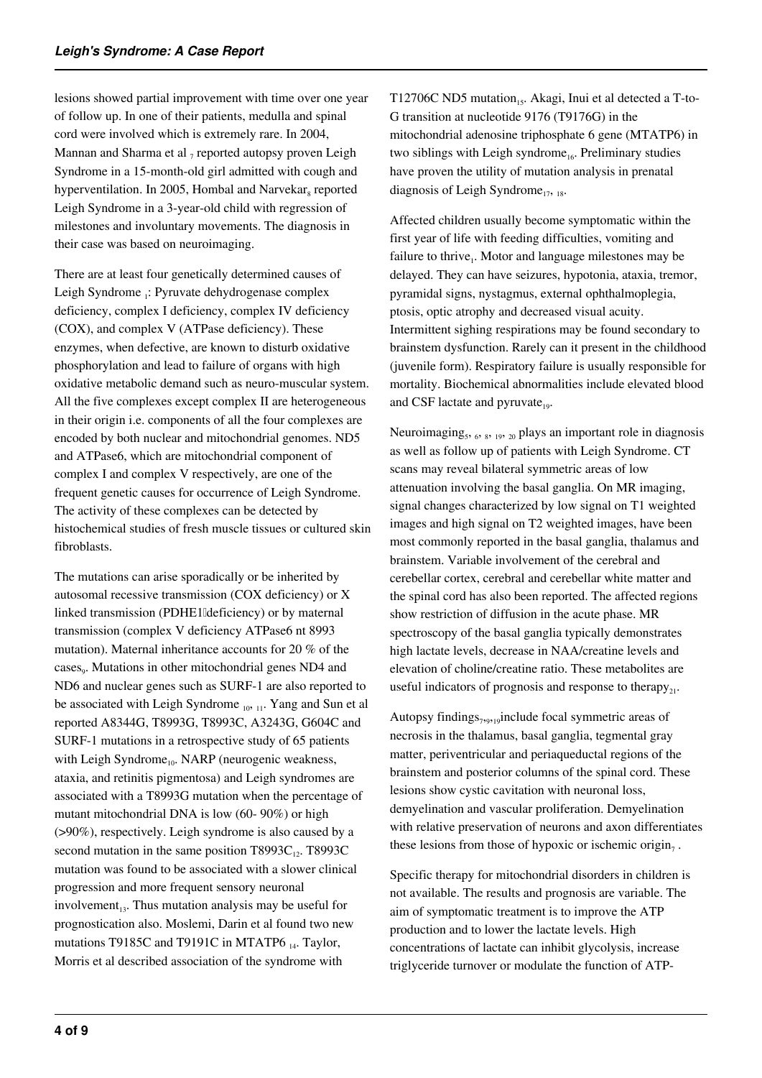lesions showed partial improvement with time over one year of follow up. In one of their patients, medulla and spinal cord were involved which is extremely rare. In 2004, Mannan and Sharma et al <sub>7</sub> reported autopsy proven Leigh Syndrome in a 15-month-old girl admitted with cough and hyperventilation. In 2005, Hombal and Narvekar<sub>s</sub> reported Leigh Syndrome in a 3-year-old child with regression of milestones and involuntary movements. The diagnosis in their case was based on neuroimaging.

There are at least four genetically determined causes of Leigh Syndrome <sub>1</sub>: Pyruvate dehydrogenase complex deficiency, complex I deficiency, complex IV deficiency (COX), and complex V (ATPase deficiency). These enzymes, when defective, are known to disturb oxidative phosphorylation and lead to failure of organs with high oxidative metabolic demand such as neuro-muscular system. All the five complexes except complex II are heterogeneous in their origin i.e. components of all the four complexes are encoded by both nuclear and mitochondrial genomes. ND5 and ATPase6, which are mitochondrial component of complex I and complex V respectively, are one of the frequent genetic causes for occurrence of Leigh Syndrome. The activity of these complexes can be detected by histochemical studies of fresh muscle tissues or cultured skin fibroblasts.

The mutations can arise sporadically or be inherited by autosomal recessive transmission (COX deficiency) or X linked transmission (PDHE1Ideficiency) or by maternal transmission (complex V deficiency ATPase6 nt 8993 mutation). Maternal inheritance accounts for 20 % of the cases<sub>9</sub>. Mutations in other mitochondrial genes ND4 and ND6 and nuclear genes such as SURF-1 are also reported to be associated with Leigh Syndrome 10, 11. Yang and Sun et al reported A8344G, T8993G, T8993C, A3243G, G604C and SURF-1 mutations in a retrospective study of 65 patients with Leigh Syndrome $_{10}$ . NARP (neurogenic weakness, ataxia, and retinitis pigmentosa) and Leigh syndromes are associated with a T8993G mutation when the percentage of mutant mitochondrial DNA is low (60- 90%) or high (>90%), respectively. Leigh syndrome is also caused by a second mutation in the same position  $T8993C_{12}$ . T8993C mutation was found to be associated with a slower clinical progression and more frequent sensory neuronal involvement<sub>13</sub>. Thus mutation analysis may be useful for prognostication also. Moslemi, Darin et al found two new mutations T9185C and T9191C in MTATP6 14. Taylor, Morris et al described association of the syndrome with

T12706C ND5 mutation<sub>15</sub>. Akagi, Inui et al detected a T-to-G transition at nucleotide 9176 (T9176G) in the mitochondrial adenosine triphosphate 6 gene (MTATP6) in two siblings with Leigh syndrome<sub>16</sub>. Preliminary studies have proven the utility of mutation analysis in prenatal diagnosis of Leigh Syndrome<sub>17, 18</sub>.

Affected children usually become symptomatic within the first year of life with feeding difficulties, vomiting and failure to thrive<sub>1</sub>. Motor and language milestones may be delayed. They can have seizures, hypotonia, ataxia, tremor, pyramidal signs, nystagmus, external ophthalmoplegia, ptosis, optic atrophy and decreased visual acuity. Intermittent sighing respirations may be found secondary to brainstem dysfunction. Rarely can it present in the childhood (juvenile form). Respiratory failure is usually responsible for mortality. Biochemical abnormalities include elevated blood and CSF lactate and pyruvate $_{19}$ .

Neuroimaging<sub>5</sub>, 6, 8, 19, 20 plays an important role in diagnosis as well as follow up of patients with Leigh Syndrome. CT scans may reveal bilateral symmetric areas of low attenuation involving the basal ganglia. On MR imaging, signal changes characterized by low signal on T1 weighted images and high signal on T2 weighted images, have been most commonly reported in the basal ganglia, thalamus and brainstem. Variable involvement of the cerebral and cerebellar cortex, cerebral and cerebellar white matter and the spinal cord has also been reported. The affected regions show restriction of diffusion in the acute phase. MR spectroscopy of the basal ganglia typically demonstrates high lactate levels, decrease in NAA/creatine levels and elevation of choline/creatine ratio. These metabolites are useful indicators of prognosis and response to therapy<sub>21</sub>.

Autopsy findings $_{7,9,19}$ include focal symmetric areas of necrosis in the thalamus, basal ganglia, tegmental gray matter, periventricular and periaqueductal regions of the brainstem and posterior columns of the spinal cord. These lesions show cystic cavitation with neuronal loss, demyelination and vascular proliferation. Demyelination with relative preservation of neurons and axon differentiates these lesions from those of hypoxic or ischemic origin, .

Specific therapy for mitochondrial disorders in children is not available. The results and prognosis are variable. The aim of symptomatic treatment is to improve the ATP production and to lower the lactate levels. High concentrations of lactate can inhibit glycolysis, increase triglyceride turnover or modulate the function of ATP-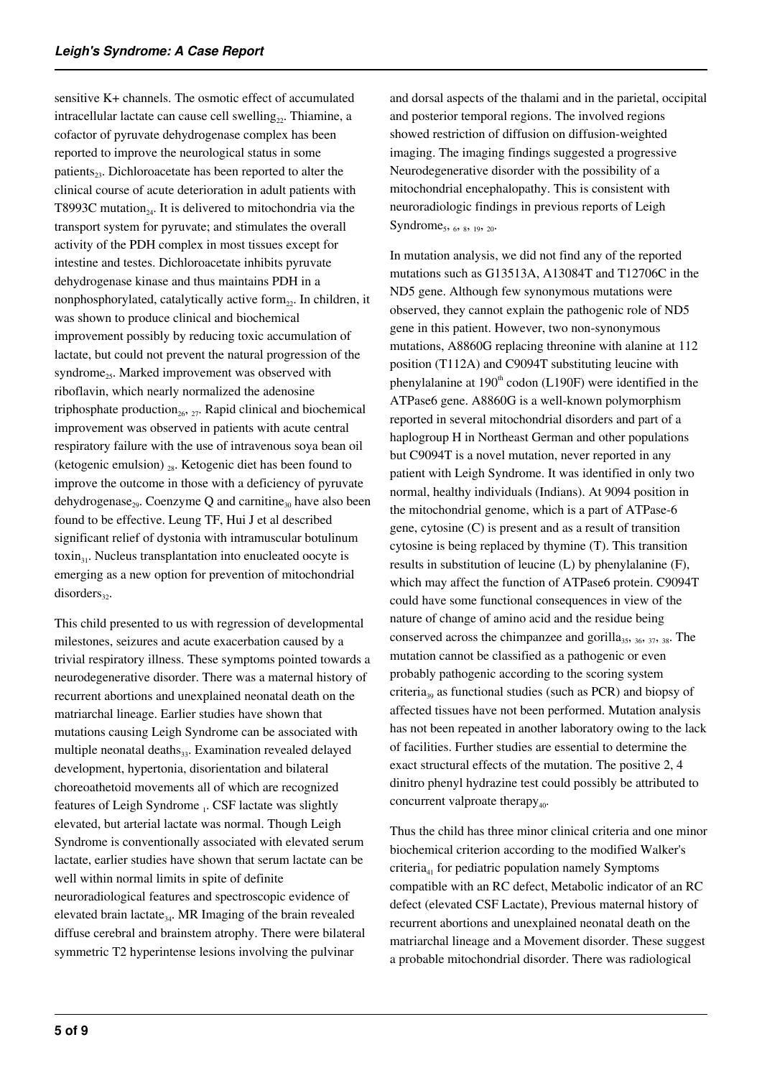sensitive K+ channels. The osmotic effect of accumulated intracellular lactate can cause cell swelling<sub>22</sub>. Thiamine, a cofactor of pyruvate dehydrogenase complex has been reported to improve the neurological status in some patients<sub>23</sub>. Dichloroacetate has been reported to alter the clinical course of acute deterioration in adult patients with T8993C mutation<sub>24</sub>. It is delivered to mitochondria via the transport system for pyruvate; and stimulates the overall activity of the PDH complex in most tissues except for intestine and testes. Dichloroacetate inhibits pyruvate dehydrogenase kinase and thus maintains PDH in a nonphosphorylated, catalytically active form<sub>22</sub>. In children, it was shown to produce clinical and biochemical improvement possibly by reducing toxic accumulation of lactate, but could not prevent the natural progression of the syndrome<sub>25</sub>. Marked improvement was observed with riboflavin, which nearly normalized the adenosine triphosphate production<sub>26</sub>,  $_{27}$ . Rapid clinical and biochemical improvement was observed in patients with acute central respiratory failure with the use of intravenous soya bean oil (ketogenic emulsion)  $_{28}$ . Ketogenic diet has been found to improve the outcome in those with a deficiency of pyruvate dehydrogenase<sub>29</sub>. Coenzyme Q and carnitine<sub>30</sub> have also been found to be effective. Leung TF, Hui J et al described significant relief of dystonia with intramuscular botulinum toxin<sub>31</sub>. Nucleus transplantation into enucleated oocyte is emerging as a new option for prevention of mitochondrial  $disorders<sub>32</sub>$ .

This child presented to us with regression of developmental milestones, seizures and acute exacerbation caused by a trivial respiratory illness. These symptoms pointed towards a neurodegenerative disorder. There was a maternal history of recurrent abortions and unexplained neonatal death on the matriarchal lineage. Earlier studies have shown that mutations causing Leigh Syndrome can be associated with multiple neonatal deaths<sub>33</sub>. Examination revealed delayed development, hypertonia, disorientation and bilateral choreoathetoid movements all of which are recognized features of Leigh Syndrome 1. CSF lactate was slightly elevated, but arterial lactate was normal. Though Leigh Syndrome is conventionally associated with elevated serum lactate, earlier studies have shown that serum lactate can be well within normal limits in spite of definite neuroradiological features and spectroscopic evidence of elevated brain lactate<sub>34</sub>. MR Imaging of the brain revealed diffuse cerebral and brainstem atrophy. There were bilateral symmetric T2 hyperintense lesions involving the pulvinar

and dorsal aspects of the thalami and in the parietal, occipital and posterior temporal regions. The involved regions showed restriction of diffusion on diffusion-weighted imaging. The imaging findings suggested a progressive Neurodegenerative disorder with the possibility of a mitochondrial encephalopathy. This is consistent with neuroradiologic findings in previous reports of Leigh Syndrome<sub>5</sub>, 6, 8, 19, 20.

In mutation analysis, we did not find any of the reported mutations such as G13513A, A13084T and T12706C in the ND5 gene. Although few synonymous mutations were observed, they cannot explain the pathogenic role of ND5 gene in this patient. However, two non-synonymous mutations, A8860G replacing threonine with alanine at 112 position (T112A) and C9094T substituting leucine with phenylalanine at  $190<sup>th</sup>$  codon (L190F) were identified in the ATPase6 gene. A8860G is a well-known polymorphism reported in several mitochondrial disorders and part of a haplogroup H in Northeast German and other populations but C9094T is a novel mutation, never reported in any patient with Leigh Syndrome. It was identified in only two normal, healthy individuals (Indians). At 9094 position in the mitochondrial genome, which is a part of ATPase-6 gene, cytosine (C) is present and as a result of transition cytosine is being replaced by thymine (T). This transition results in substitution of leucine (L) by phenylalanine (F), which may affect the function of ATPase6 protein. C9094T could have some functional consequences in view of the nature of change of amino acid and the residue being conserved across the chimpanzee and gorilla<sub>35</sub>,  $_{36}$ ,  $_{37}$ ,  $_{38}$ . The mutation cannot be classified as a pathogenic or even probably pathogenic according to the scoring system criteria<sub>39</sub> as functional studies (such as PCR) and biopsy of affected tissues have not been performed. Mutation analysis has not been repeated in another laboratory owing to the lack of facilities. Further studies are essential to determine the exact structural effects of the mutation. The positive 2, 4 dinitro phenyl hydrazine test could possibly be attributed to concurrent valproate therapy $_{40}$ .

Thus the child has three minor clinical criteria and one minor biochemical criterion according to the modified Walker's criteria<sub>41</sub> for pediatric population namely Symptoms compatible with an RC defect, Metabolic indicator of an RC defect (elevated CSF Lactate), Previous maternal history of recurrent abortions and unexplained neonatal death on the matriarchal lineage and a Movement disorder. These suggest a probable mitochondrial disorder. There was radiological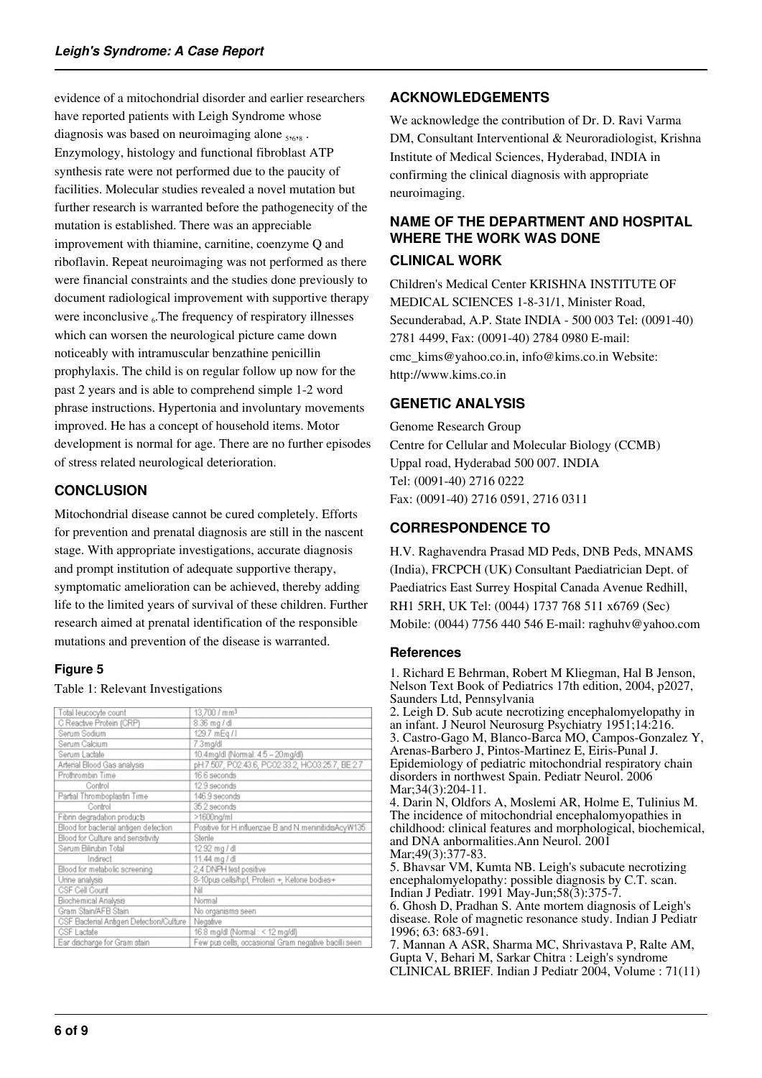evidence of a mitochondrial disorder and earlier researchers have reported patients with Leigh Syndrome whose diagnosis was based on neuroimaging alone  $_{5,6,8}$ . Enzymology, histology and functional fibroblast ATP synthesis rate were not performed due to the paucity of facilities. Molecular studies revealed a novel mutation but further research is warranted before the pathogenecity of the mutation is established. There was an appreciable improvement with thiamine, carnitine, coenzyme Q and riboflavin. Repeat neuroimaging was not performed as there were financial constraints and the studies done previously to document radiological improvement with supportive therapy were inconclusive  $_6$ . The frequency of respiratory illnesses which can worsen the neurological picture came down noticeably with intramuscular benzathine penicillin prophylaxis. The child is on regular follow up now for the past 2 years and is able to comprehend simple 1-2 word phrase instructions. Hypertonia and involuntary movements improved. He has a concept of household items. Motor development is normal for age. There are no further episodes of stress related neurological deterioration.

# **CONCLUSION**

Mitochondrial disease cannot be cured completely. Efforts for prevention and prenatal diagnosis are still in the nascent stage. With appropriate investigations, accurate diagnosis and prompt institution of adequate supportive therapy, symptomatic amelioration can be achieved, thereby adding life to the limited years of survival of these children. Further research aimed at prenatal identification of the responsible mutations and prevention of the disease is warranted.

### **Figure 5**

#### Table 1: Relevant Investigations

| Total leucocyte count                   | 13.700 / mm <sup>3</sup>                             |
|-----------------------------------------|------------------------------------------------------|
| C Reactive Protein (CRP)                | 8.36 mg / dl                                         |
| Serum Sodium                            | 129.7 mEg / I                                        |
| Serum Calcium                           | 7.3mg/dl                                             |
| Serum Lactate                           | 10.4mg/dl (Normal: 4.5 - 20mg/dl)                    |
| Arterial Blood Gas analysis             | pH:7.507, PO2:43.6, PCO2:33.2, HCO3:25.7, BE:2.7     |
| Prothrombin Time                        | 16.6 seconds                                         |
| Control                                 | 12.9 seconds                                         |
| Partial Thromboplastin Time             | 146.9 seconds                                        |
| Control                                 | 35.2 seconds                                         |
| Fibrin degradation products             | >1600ng/ml                                           |
| Blood for bacterial antigen detection   | Positive for H.influenzae B and N.meninitidisAcyW135 |
| Blood for Culture and sensitivity       | Sterile                                              |
| Serum Bilirubin Total                   | 12.92 mg / dl                                        |
| Indirect                                | 11.44 mg / dl                                        |
| Blood for metabolic screening           | 2,4 DNPH test positive                               |
| Urine analysis                          | 8-10pus cells/hpf, Protein +, Ketone bodies+         |
| CSF Cell Count                          | Νi                                                   |
| Biochemical Analysis                    | Normal                                               |
| Gram Stain/AFB Stain                    | No organisms seen                                    |
| CSF Bacterial Antigen Detection/Culture | Negative                                             |
| CSF Lactate                             | 16.8 mg/dl (Normal: < 12 mg/dl)                      |
| Ear discharge for Gram stain            | Few pus cells, occasional Gram negative bacilli seen |

# **ACKNOWLEDGEMENTS**

We acknowledge the contribution of Dr. D. Ravi Varma DM, Consultant Interventional & Neuroradiologist, Krishna Institute of Medical Sciences, Hyderabad, INDIA in confirming the clinical diagnosis with appropriate neuroimaging.

# **NAME OF THE DEPARTMENT AND HOSPITAL WHERE THE WORK WAS DONE**

## **CLINICAL WORK**

Children's Medical Center KRISHNA INSTITUTE OF MEDICAL SCIENCES 1-8-31/1, Minister Road, Secunderabad, A.P. State INDIA - 500 003 Tel: (0091-40) 2781 4499, Fax: (0091-40) 2784 0980 E-mail: cmc\_kims@yahoo.co.in, info@kims.co.in Website: http://www.kims.co.in

# **GENETIC ANALYSIS**

Genome Research Group Centre for Cellular and Molecular Biology (CCMB) Uppal road, Hyderabad 500 007. INDIA Tel: (0091-40) 2716 0222 Fax: (0091-40) 2716 0591, 2716 0311

# **CORRESPONDENCE TO**

H.V. Raghavendra Prasad MD Peds, DNB Peds, MNAMS (India), FRCPCH (UK) Consultant Paediatrician Dept. of Paediatrics East Surrey Hospital Canada Avenue Redhill, RH1 5RH, UK Tel: (0044) 1737 768 511 x6769 (Sec) Mobile: (0044) 7756 440 546 E-mail: raghuhv@yahoo.com

### **References**

1. Richard E Behrman, Robert M Kliegman, Hal B Jenson, Nelson Text Book of Pediatrics 17th edition, 2004, p2027, Saunders Ltd, Pennsylvania 2. Leigh D. Sub acute necrotizing encephalomyelopathy in an infant. J Neurol Neurosurg Psychiatry 1951;14:216. 3. Castro-Gago M, Blanco-Barca MO, Campos-Gonzalez Y, Arenas-Barbero J, Pintos-Martinez E, Eiris-Punal J. Epidemiology of pediatric mitochondrial respiratory chain disorders in northwest Spain. Pediatr Neurol. 2006 Mar; 34(3): 204-11. 4. Darin N, Oldfors A, Moslemi AR, Holme E, Tulinius M. The incidence of mitochondrial encephalomyopathies in childhood: clinical features and morphological, biochemical, and DNA anbormalities.Ann Neurol. 2001 Mar: 49(3): 377-83. 5. Bhavsar VM, Kumta NB. Leigh's subacute necrotizing encephalomyelopathy: possible diagnosis by C.T. scan. Indian J Pediatr. 1991 May-Jun;58(3):375-7. 6. Ghosh D, Pradhan S. Ante mortem diagnosis of Leigh's disease. Role of magnetic resonance study. Indian J Pediatr 1996; 63: 683-691. 7. Mannan A ASR, Sharma MC, Shrivastava P, Ralte AM,

Gupta V, Behari M, Sarkar Chitra : Leigh's syndrome CLINICAL BRIEF. Indian J Pediatr 2004, Volume : 71(11)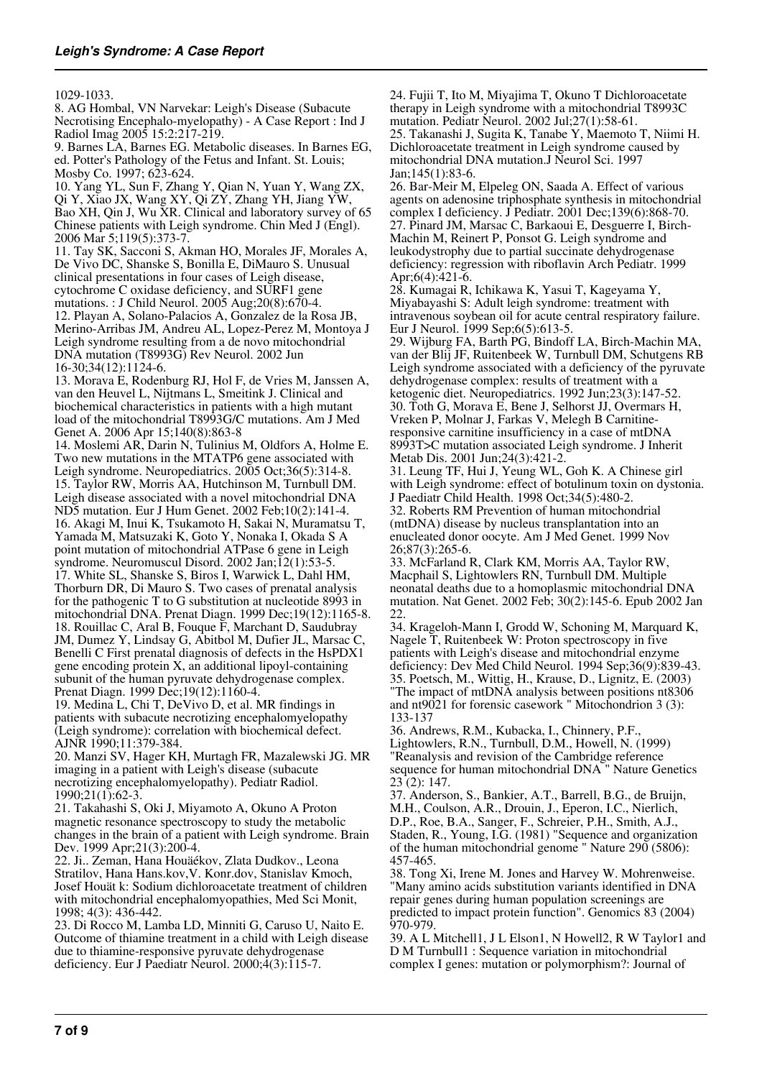#### 1029-1033.

8. AG Hombal, VN Narvekar: Leigh's Disease (Subacute Necrotising Encephalo-myelopathy) - A Case Report : Ind J Radiol Imag 2005 15:2:217-219.

9. Barnes LA, Barnes EG. Metabolic diseases. In Barnes EG, ed. Potter's Pathology of the Fetus and Infant. St. Louis; Mosby Co. 1997; 623-624.

10. Yang YL, Sun F, Zhang Y, Qian N, Yuan Y, Wang ZX, Qi Y, Xiao JX, Wang XY, Qi ZY, Zhang YH, Jiang YW, Bao XH, Qin J, Wu XR. Clinical and laboratory survey of 65 Chinese patients with Leigh syndrome. Chin Med J (Engl). 2006 Mar 5;119(5):373-7.

11. Tay SK, Sacconi S, Akman HO, Morales JF, Morales A, De Vivo DC, Shanske S, Bonilla E, DiMauro S. Unusual clinical presentations in four cases of Leigh disease, cytochrome C oxidase deficiency, and SURF1 gene mutations. : J Child Neurol. 2005 Aug;20(8):670-4. 12. Playan A, Solano-Palacios A, Gonzalez de la Rosa JB, Merino-Arribas JM, Andreu AL, Lopez-Perez M, Montoya J Leigh syndrome resulting from a de novo mitochondrial DNA mutation (T8993G) Rev Neurol. 2002 Jun 16-30;34(12):1124-6.

13. Morava E, Rodenburg RJ, Hol F, de Vries M, Janssen A, van den Heuvel L, Nijtmans L, Smeitink J. Clinical and biochemical characteristics in patients with a high mutant load of the mitochondrial T8993G/C mutations. Am J Med Genet A. 2006 Apr 15;140(8):863-8

14. Moslemi AR, Darin N, Tulinius M, Oldfors A, Holme E. Two new mutations in the MTATP6 gene associated with Leigh syndrome. Neuropediatrics. 2005 Oct;36(5):314-8. 15. Taylor RW, Morris AA, Hutchinson M, Turnbull DM. Leigh disease associated with a novel mitochondrial DNA ND5 mutation. Eur J Hum Genet. 2002 Feb;10(2):141-4. 16. Akagi M, Inui K, Tsukamoto H, Sakai N, Muramatsu T, Yamada M, Matsuzaki K, Goto Y, Nonaka I, Okada S A point mutation of mitochondrial ATPase 6 gene in Leigh syndrome. Neuromuscul Disord. 2002 Jan;12(1):53-5. 17. White SL, Shanske S, Biros I, Warwick L, Dahl HM, Thorburn DR, Di Mauro S. Two cases of prenatal analysis for the pathogenic T to G substitution at nucleotide 8993 in mitochondrial DNA. Prenat Diagn. 1999 Dec;19(12):1165-8. 18. Rouillac C, Aral B, Fouque F, Marchant D, Saudubray JM, Dumez Y, Lindsay G, Abitbol M, Dufier JL, Marsac C, Benelli C First prenatal diagnosis of defects in the HsPDX1 gene encoding protein X, an additional lipoyl-containing subunit of the human pyruvate dehydrogenase complex. Prenat Diagn. 1999 Dec;19(12):1160-4.

19. Medina L, Chi T, DeVivo D, et al. MR findings in patients with subacute necrotizing encephalomyelopathy (Leigh syndrome): correlation with biochemical defect. AJNR 1990;11:379-384.

20. Manzi SV, Hager KH, Murtagh FR, Mazalewski JG. MR imaging in a patient with Leigh's disease (subacute necrotizing encephalomyelopathy). Pediatr Radiol. 1990;21(1):62-3.

21. Takahashi S, Oki J, Miyamoto A, Okuno A Proton magnetic resonance spectroscopy to study the metabolic changes in the brain of a patient with Leigh syndrome. Brain Dev. 1999 Apr;21(3):200-4.

22. Ji.. Zeman, Hana Houäékov, Zlata Dudkov., Leona Stratilov, Hana Hans.kov,V. Konr.dov, Stanislav Kmoch, Josef Houät k: Sodium dichloroacetate treatment of children with mitochondrial encephalomyopathies, Med Sci Monit, 1998; 4(3): 436-442.

23. Di Rocco M, Lamba LD, Minniti G, Caruso U, Naito E. Outcome of thiamine treatment in a child with Leigh disease due to thiamine-responsive pyruvate dehydrogenase deficiency. Eur J Paediatr Neurol. 2000;4(3):115-7.

24. Fujii T, Ito M, Miyajima T, Okuno T Dichloroacetate therapy in Leigh syndrome with a mitochondrial T8993C mutation. Pediatr Neurol. 2002 Jul;27(1):58-61.

25. Takanashi J, Sugita K, Tanabe Y, Maemoto T, Niimi H. Dichloroacetate treatment in Leigh syndrome caused by mitochondrial DNA mutation.J Neurol Sci. 1997 Jan;145(1):83-6.

26. Bar-Meir M, Elpeleg ON, Saada A. Effect of various agents on adenosine triphosphate synthesis in mitochondrial complex I deficiency. J Pediatr. 2001 Dec;139(6):868-70. 27. Pinard JM, Marsac C, Barkaoui E, Desguerre I, Birch-Machin M, Reinert P, Ponsot G. Leigh syndrome and leukodystrophy due to partial succinate dehydrogenase deficiency: regression with riboflavin Arch Pediatr. 1999 Apr;6(4):421-6.

28. Kumagai R, Ichikawa K, Yasui T, Kageyama Y, Miyabayashi S: Adult leigh syndrome: treatment with intravenous soybean oil for acute central respiratory failure. Eur J Neurol. 1999 Sep;6(5):613-5.

29. Wijburg FA, Barth PG, Bindoff LA, Birch-Machin MA, van der Blij JF, Ruitenbeek W, Turnbull DM, Schutgens RB Leigh syndrome associated with a deficiency of the pyruvate dehydrogenase complex: results of treatment with a ketogenic diet. Neuropediatrics. 1992 Jun;23(3):147-52. 30. Toth G, Morava E, Bene J, Selhorst JJ, Overmars H, Vreken P, Molnar J, Farkas V, Melegh B Carnitineresponsive carnitine insufficiency in a case of mtDNA 8993T>C mutation associated Leigh syndrome. J Inherit Metab Dis. 2001 Jun;24(3):421-2.

31. Leung TF, Hui J, Yeung WL, Goh K. A Chinese girl with Leigh syndrome: effect of botulinum toxin on dystonia. J Paediatr Child Health. 1998 Oct;34(5):480-2. 32. Roberts RM Prevention of human mitochondrial (mtDNA) disease by nucleus transplantation into an enucleated donor oocyte. Am J Med Genet. 1999 Nov 26;87(3):265-6.

33. McFarland R, Clark KM, Morris AA, Taylor RW, Macphail S, Lightowlers RN, Turnbull DM. Multiple neonatal deaths due to a homoplasmic mitochondrial DNA mutation. Nat Genet. 2002 Feb; 30(2):145-6. Epub 2002 Jan 22.

34. Krageloh-Mann I, Grodd W, Schoning M, Marquard K, Nagele T, Ruitenbeek W: Proton spectroscopy in five patients with Leigh's disease and mitochondrial enzyme deficiency: Dev Med Child Neurol. 1994 Sep;36(9):839-43. 35. Poetsch, M., Wittig, H., Krause, D., Lignitz, E. (2003) "The impact of mtDNA analysis between positions nt8306 and nt9021 for forensic casework " Mitochondrion 3 (3): 133-137

36. Andrews, R.M., Kubacka, I., Chinnery, P.F., Lightowlers, R.N., Turnbull, D.M., Howell, N. (1999) "Reanalysis and revision of the Cambridge reference sequence for human mitochondrial DNA " Nature Genetics 23 (2): 147.

37. Anderson, S., Bankier, A.T., Barrell, B.G., de Bruijn, M.H., Coulson, A.R., Drouin, J., Eperon, I.C., Nierlich, D.P., Roe, B.A., Sanger, F., Schreier, P.H., Smith, A.J., Staden, R., Young, I.G. (1981) "Sequence and organization of the human mitochondrial genome " Nature 290 (5806): 457-465.

38. Tong Xi, Irene M. Jones and Harvey W. Mohrenweise. "Many amino acids substitution variants identified in DNA repair genes during human population screenings are predicted to impact protein function". Genomics 83 (2004) 970-979.

39. A L Mitchell1, J L Elson1, N Howell2, R W Taylor1 and D M Turnbull1 : Sequence variation in mitochondrial complex I genes: mutation or polymorphism?: Journal of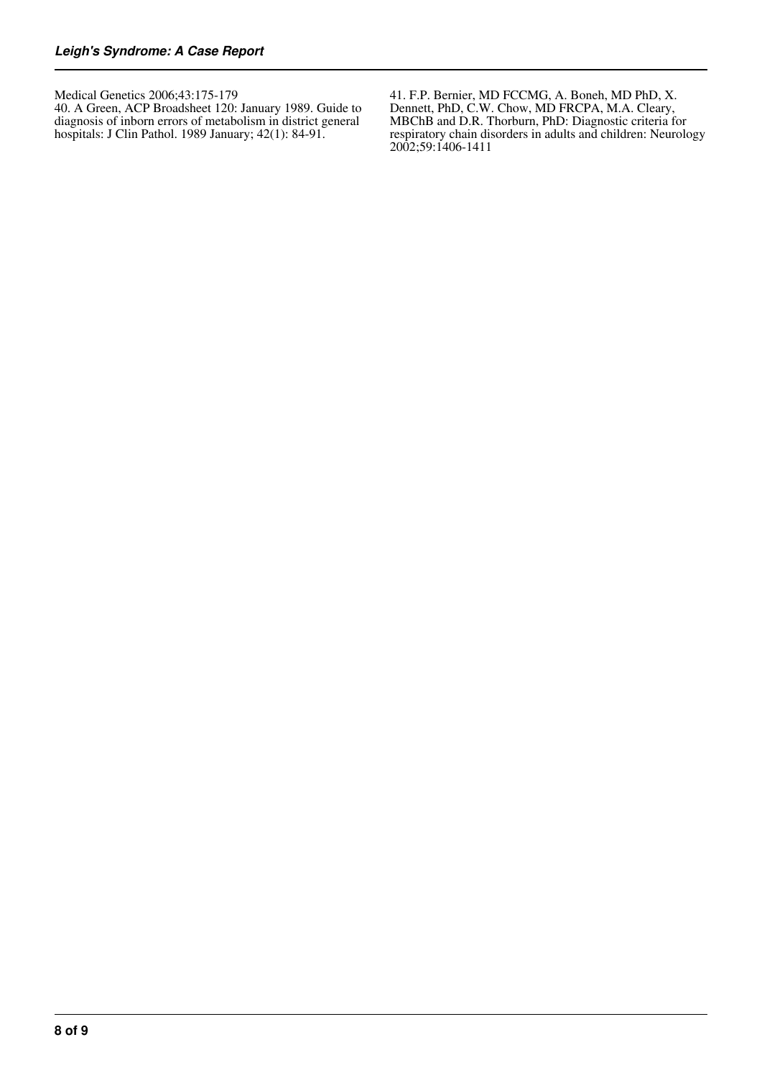Medical Genetics 2006;43:175-179

40. A Green, ACP Broadsheet 120: January 1989. Guide to diagnosis of inborn errors of metabolism in district general hospitals: J Clin Pathol. 1989 January; 42(1): 84-91.

41. F.P. Bernier, MD FCCMG, A. Boneh, MD PhD, X. Dennett, PhD, C.W. Chow, MD FRCPA, M.A. Cleary, MBChB and D.R. Thorburn, PhD: Diagnostic criteria for respiratory chain disorders in adults and children: Neurology 2002;59:1406-1411